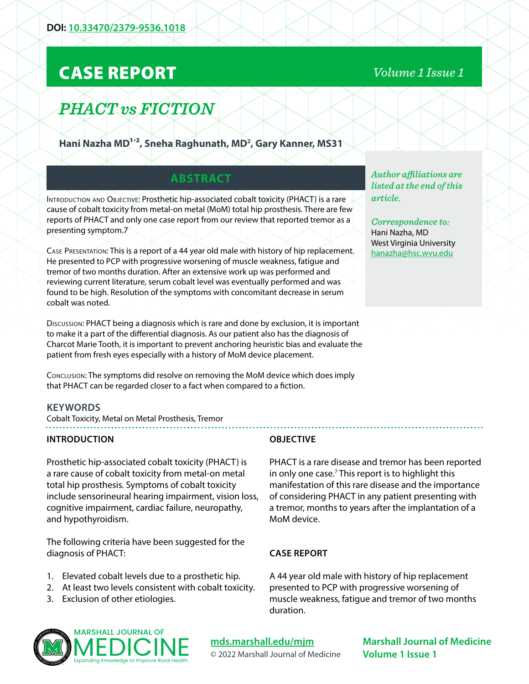## CASE REPORT

# *PHACT vs FICTION*

Hani Nazha MD<sup>1,2</sup>, Sneha Raghunath, MD<sup>2</sup>, Gary Kanner, MS31

#### **ABSTRACT**

INTRODUCTION AND OBJECTIVE: Prosthetic hip-associated cobalt toxicity (PHACT) is a rare cause of cobalt toxicity from metal-on metal (MoM) total hip prosthesis. There are few reports of PHACT and only one case report from our review that reported tremor as a presenting symptom.7

Case Presentation: This is a report of a 44 year old male with history of hip replacement. He presented to PCP with progressive worsening of muscle weakness, fatigue and tremor of two months duration. After an extensive work up was performed and reviewing current literature, serum cobalt level was eventually performed and was found to be high. Resolution of the symptoms with concomitant decrease in serum cobalt was noted.

Discussion: PHACT being a diagnosis which is rare and done by exclusion, it is important to make it a part of the differential diagnosis. As our patient also has the diagnosis of Charcot Marie Tooth, it is important to prevent anchoring heuristic bias and evaluate the patient from fresh eyes especially with a history of MoM device placement.

Conclusion: The symptoms did resolve on removing the MoM device which does imply that PHACT can be regarded closer to a fact when compared to a fiction.

#### **KEYWORDS**

Cobalt Toxicity, Metal on Metal Prosthesis, Tremor

#### **INTRODUCTION**

Prosthetic hip-associated cobalt toxicity (PHACT) is a rare cause of cobalt toxicity from metal-on metal total hip prosthesis. Symptoms of cobalt toxicity include sensorineural hearing impairment, vision loss, cognitive impairment, cardiac failure, neuropathy, and hypothyroidism.

The following criteria have been suggested for the diagnosis of PHACT:

- 1. Elevated cobalt levels due to a prosthetic hip.
- 2. At least two levels consistent with cobalt toxicity.
- 3. Exclusion of other etiologies.

#### ™ MARSHALL JOURNAL OF MEDICINE Expanding Knowledge to Improve Rural Health.

#### **OBJECTIVE**

PHACT is a rare disease and tremor has been reported in only one case.<sup>7</sup> This report is to highlight this manifestation of this rare disease and the importance of considering PHACT in any patient presenting with a tremor, months to years after the implantation of a MoM device.

#### **CASE REPORT**

A 44 year old male with history of hip replacement presented to PCP with progressive worsening of muscle weakness, fatigue and tremor of two months duration.

*Author affiliations are listed at the end of this article.* 

*Correspondence to:*  Hani Nazha, MD West Virginia University [hanazha@hsc.wvu.edu](mailto:hanazha%40hsc.wvu.edu?subject=)

**[mds.marshall.edu/mjm](https://mds.marshall.edu/mjm/)** © 2022 Marshall Journal of Medicine

**Marshall Journal of Medicine Volume 1 Issue 1**

### *Volume 1 Issue 1*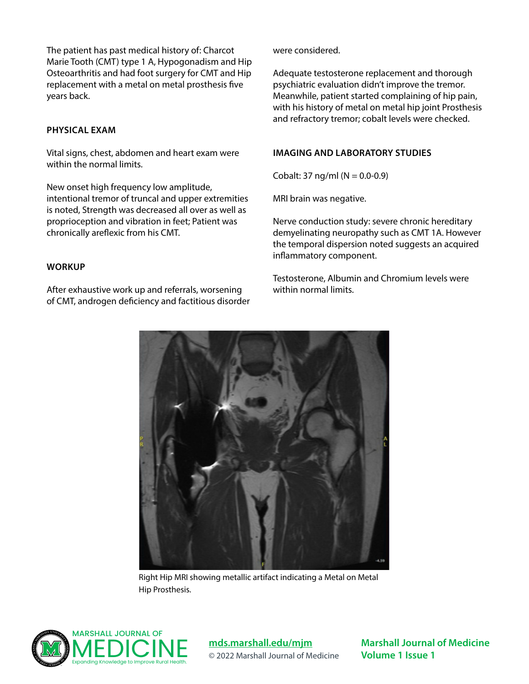The patient has past medical history of: Charcot Marie Tooth (CMT) type 1 A, Hypogonadism and Hip Osteoarthritis and had foot surgery for CMT and Hip replacement with a metal on metal prosthesis five years back.

#### **PHYSICAL EXAM**

Vital signs, chest, abdomen and heart exam were within the normal limits.

New onset high frequency low amplitude, intentional tremor of truncal and upper extremities is noted, Strength was decreased all over as well as proprioception and vibration in feet; Patient was chronically areflexic from his CMT.

#### **WORKUP**

After exhaustive work up and referrals, worsening of CMT, androgen deficiency and factitious disorder were considered.

Adequate testosterone replacement and thorough psychiatric evaluation didn't improve the tremor. Meanwhile, patient started complaining of hip pain, with his history of metal on metal hip joint Prosthesis and refractory tremor; cobalt levels were checked.

#### **IMAGING AND LABORATORY STUDIES**

Cobalt: 37 ng/ml ( $N = 0.0 - 0.9$ )

MRI brain was negative.

Nerve conduction study: severe chronic hereditary demyelinating neuropathy such as CMT 1A. However the temporal dispersion noted suggests an acquired inflammatory component.

Testosterone, Albumin and Chromium levels were within normal limits.



Right Hip MRI showing metallic artifact indicating a Metal on Metal Hip Prosthesis.



**[mds.marshall.edu/mjm](https://mds.marshall.edu/mjm/)** © 2022 Marshall Journal of Medicine

**Marshall Journal of Medicine Volume 1 Issue 1**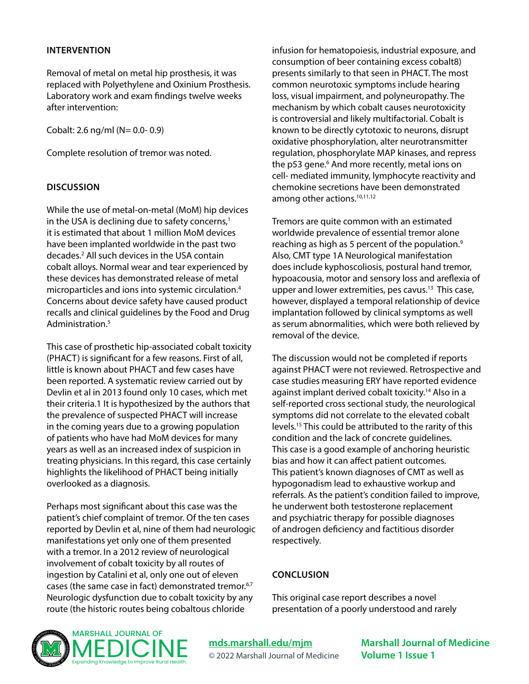#### **INTERVENTION**

Removal of metal on metal hip prosthesis, it was replaced with Polyethylene and Oxinium Prosthesis. Laboratory work and exam findings twelve weeks after intervention:

Cobalt: 2.6 ng/ml (N= 0.0- 0.9)

Complete resolution of tremor was noted.

#### **DISCUSSION**

While the use of metal-on-metal (MoM) hip devices in the USA is declining due to safety concerns, $<sup>1</sup>$ </sup> it is estimated that about 1 million MoM devices have been implanted worldwide in the past two decades.2 All such devices in the USA contain cobalt alloys. Normal wear and tear experienced by these devices has demonstrated release of metal microparticles and ions into systemic circulation.4 Concerns about device safety have caused product recalls and clinical guidelines by the Food and Drug Administration.<sup>5</sup>

This case of prosthetic hip-associated cobalt toxicity (PHACT) is significant for a few reasons. First of all, little is known about PHACT and few cases have been reported. A systematic review carried out by Devlin et al in 2013 found only 10 cases, which met their criteria.1 It is hypothesized by the authors that the prevalence of suspected PHACT will increase in the coming years due to a growing population of patients who have had MoM devices for many years as well as an increased index of suspicion in treating physicians. In this regard, this case certainly highlights the likelihood of PHACT being initially overlooked as a diagnosis.

Perhaps most significant about this case was the patient's chief complaint of tremor. Of the ten cases reported by Devlin et al, nine of them had neurologic manifestations yet only one of them presented with a tremor. In a 2012 review of neurological involvement of cobalt toxicity by all routes of ingestion by Catalini et al, only one out of eleven cases (the same case in fact) demonstrated tremor.6,7 Neurologic dysfunction due to cobalt toxicity by any route (the historic routes being cobaltous chloride

infusion for hematopoiesis, industrial exposure, and consumption of beer containing excess cobalt8) presents similarly to that seen in PHACT. The most common neurotoxic symptoms include hearing loss, visual impairment, and polyneuropathy. The mechanism by which cobalt causes neurotoxicity is controversial and likely multifactorial. Cobalt is known to be directly cytotoxic to neurons, disrupt oxidative phosphorylation, alter neurotransmitter regulation, phosphorylate MAP kinases, and repress the p53 gene.<sup>6</sup> And more recently, metal ions on cell- mediated immunity, lymphocyte reactivity and chemokine secretions have been demonstrated among other actions.<sup>10,11,12</sup>

Tremors are quite common with an estimated worldwide prevalence of essential tremor alone reaching as high as 5 percent of the population.<sup>9</sup> Also, CMT type 1A Neurological manifestation does include kyphoscoliosis, postural hand tremor, hypoacousia, motor and sensory loss and areflexia of upper and lower extremities, pes cavus.<sup>13</sup> This case, however, displayed a temporal relationship of device implantation followed by clinical symptoms as well as serum abnormalities, which were both relieved by removal of the device.

The discussion would not be completed if reports against PHACT were not reviewed. Retrospective and case studies measuring ERY have reported evidence against implant derived cobalt toxicity.14 Also in a self-reported cross sectional study, the neurological symptoms did not correlate to the elevated cobalt levels.15 This could be attributed to the rarity of this condition and the lack of concrete guidelines. This case is a good example of anchoring heuristic bias and how it can affect patient outcomes. This patient's known diagnoses of CMT as well as hypogonadism lead to exhaustive workup and referrals. As the patient's condition failed to improve, he underwent both testosterone replacement and psychiatric therapy for possible diagnoses of androgen deficiency and factitious disorder respectively.

#### **CONCLUSION**

This original case report describes a novel presentation of a poorly understood and rarely



**[mds.marshall.edu/mjm](https://mds.marshall.edu/mjm/)** © 2022 Marshall Journal of Medicine **Marshall Journal of Medicine Volume 1 Issue 1**